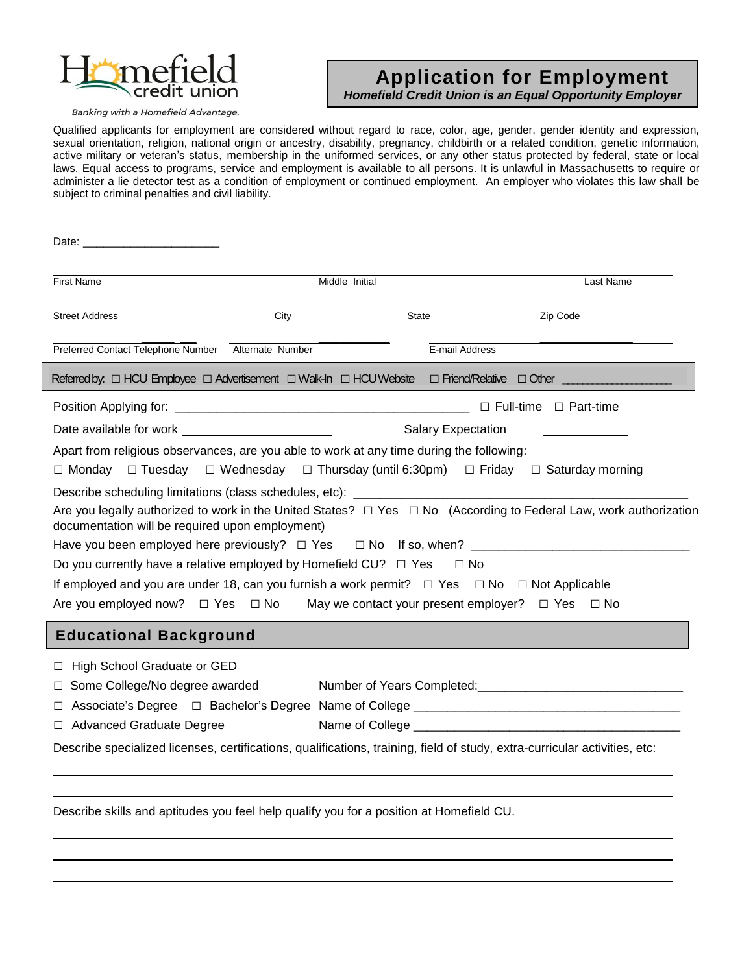

### **Application for Employment** *Homefield Credit Union is an Equal Opportunity Employer*

 

Banking with a Homefield Advantage.

Qualified applicants for employment are considered without regard to race, color, age, gender, gender identity and expression, sexual orientation, religion, national origin or ancestry, disability, pregnancy, childbirth or a related condition, genetic information, active military or veteran's status, membership in the uniformed services, or any other status protected by federal, state or local laws. Equal access to programs, service and employment is available to all persons. It is unlawful in Massachusetts to require or administer a lie detector test as a condition of employment or continued employment. An employer who violates this law shall be subject to criminal penalties and civil liability.

| <b>First Name</b>                                                                                                                     | Middle Initial |                |                                                                                                                             |  |  |
|---------------------------------------------------------------------------------------------------------------------------------------|----------------|----------------|-----------------------------------------------------------------------------------------------------------------------------|--|--|
| <b>Street Address</b>                                                                                                                 | City           | <b>State</b>   | Zip Code                                                                                                                    |  |  |
| Preferred Contact Telephone Number Alternate Number                                                                                   |                | E-mail Address |                                                                                                                             |  |  |
| Referred by. $\Box$ HCU Employee $\Box$ Advertisement $\Box$ Walk-In $\Box$ HCU Website $\Box$ Friend/Relative $\Box$ Other _________ |                |                |                                                                                                                             |  |  |
|                                                                                                                                       |                |                | $\Box$ Full-time $\Box$ Part-time                                                                                           |  |  |
| Date available for work <u>examed and the set of the set of the set of the set of the set of the set of the set o</u>                 |                |                | <b>Salary Expectation</b>                                                                                                   |  |  |
| Apart from religious observances, are you able to work at any time during the following:                                              |                |                | $\Box$ Monday $\Box$ Tuesday $\Box$ Wednesday $\Box$ Thursday (until 6:30pm) $\Box$ Friday $\Box$ Saturday morning          |  |  |
|                                                                                                                                       |                |                |                                                                                                                             |  |  |
| documentation will be required upon employment)                                                                                       |                |                | Are you legally authorized to work in the United States? $\Box$ Yes $\Box$ No (According to Federal Law, work authorization |  |  |
| Have you been employed here previously? □ Yes □ No If so, when? ___________________________________                                   |                |                |                                                                                                                             |  |  |
| Do you currently have a relative employed by Homefield CU? $\Box$ Yes $\Box$ No                                                       |                |                |                                                                                                                             |  |  |
| If employed and you are under 18, can you furnish a work permit? $\Box$ Yes $\Box$ No $\Box$ Not Applicable                           |                |                |                                                                                                                             |  |  |
| Are you employed now? $\square$ Yes $\square$ No May we contact your present employer? $\square$ Yes $\square$ No                     |                |                |                                                                                                                             |  |  |
| <b>Educational Background</b>                                                                                                         |                |                |                                                                                                                             |  |  |
| □ High School Graduate or GED                                                                                                         |                |                |                                                                                                                             |  |  |
| $\Box$ Some College/No degree awarded                                                                                                 |                |                |                                                                                                                             |  |  |
| $\Box$                                                                                                                                |                |                |                                                                                                                             |  |  |
| □ Advanced Graduate Degree                                                                                                            |                |                |                                                                                                                             |  |  |

Describe specialized licenses, certifications, qualifications, training, field of study, extra-curricular activities, etc:

Describe skills and aptitudes you feel help qualify you for a position at Homefield CU.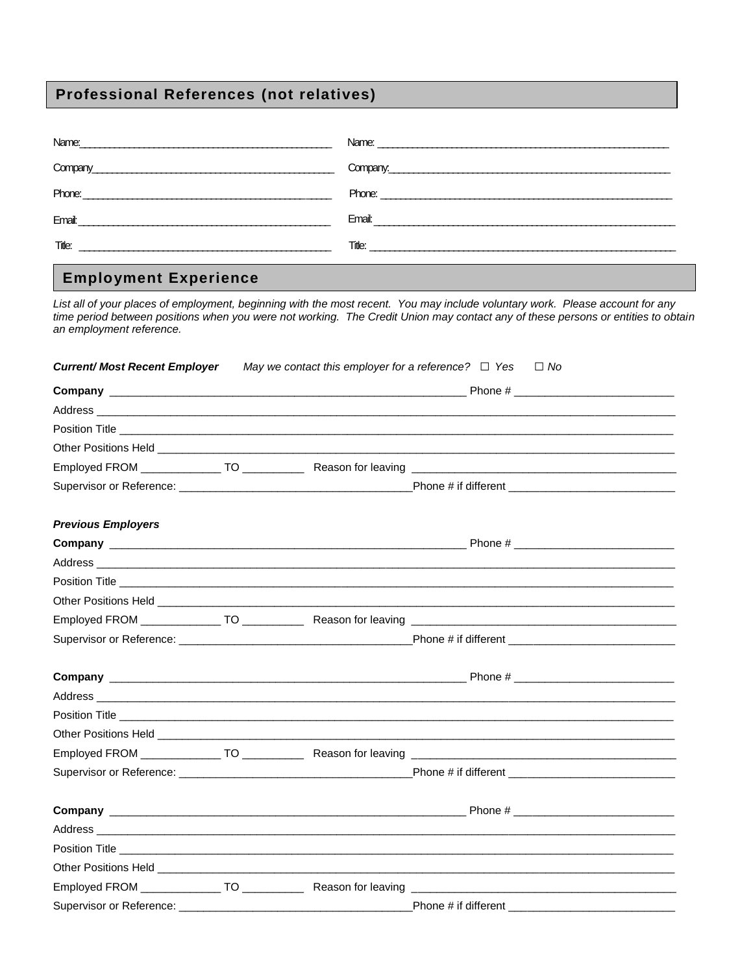# **Professional References (not relatives)**

|                                                                                                                                                                                                                                     | Name: <u>2000 - 2000 - 2000 - 2000 - 2000 - 2000 - 2000 - 2000 - 2000 - 2000 - 2000 - 2000 - 2000 - 2000 - 2000 - 2000 - 2000 - 2000 - 2000 - 2000 - 2000 - 2000 - 2000 - 2000 - 2000 - 2000 - 2000 - 2000 - 2000 - 2000 - 2000 </u> |
|-------------------------------------------------------------------------------------------------------------------------------------------------------------------------------------------------------------------------------------|--------------------------------------------------------------------------------------------------------------------------------------------------------------------------------------------------------------------------------------|
|                                                                                                                                                                                                                                     | Company.                                                                                                                                                                                                                             |
|                                                                                                                                                                                                                                     |                                                                                                                                                                                                                                      |
|                                                                                                                                                                                                                                     |                                                                                                                                                                                                                                      |
| <b>Title:</b> The contract of the contract of the contract of the contract of the contract of the contract of the contract of the contract of the contract of the contract of the contract of the contract of the contract of the c |                                                                                                                                                                                                                                      |
|                                                                                                                                                                                                                                     |                                                                                                                                                                                                                                      |

## **Employment Experience**

List all of your places of employment, beginning with the most recent. You may include voluntary work. Please account for any time period between positions when you were not working. The Credit Union may contact any of these persons or entities to obtain an employment reference.

| <b>Current/ Most Recent Employer</b> | May we contact this employer for a reference? $\Box$ Yes $\Box$ No |                                                                                                                                                                                                                                      |
|--------------------------------------|--------------------------------------------------------------------|--------------------------------------------------------------------------------------------------------------------------------------------------------------------------------------------------------------------------------------|
|                                      |                                                                    |                                                                                                                                                                                                                                      |
|                                      |                                                                    |                                                                                                                                                                                                                                      |
|                                      |                                                                    |                                                                                                                                                                                                                                      |
|                                      |                                                                    |                                                                                                                                                                                                                                      |
|                                      |                                                                    |                                                                                                                                                                                                                                      |
|                                      |                                                                    |                                                                                                                                                                                                                                      |
| <b>Previous Employers</b>            |                                                                    |                                                                                                                                                                                                                                      |
|                                      |                                                                    |                                                                                                                                                                                                                                      |
|                                      |                                                                    |                                                                                                                                                                                                                                      |
|                                      |                                                                    |                                                                                                                                                                                                                                      |
|                                      |                                                                    |                                                                                                                                                                                                                                      |
|                                      |                                                                    |                                                                                                                                                                                                                                      |
|                                      |                                                                    |                                                                                                                                                                                                                                      |
|                                      |                                                                    |                                                                                                                                                                                                                                      |
|                                      |                                                                    |                                                                                                                                                                                                                                      |
|                                      |                                                                    |                                                                                                                                                                                                                                      |
|                                      |                                                                    | Other Positions Held <b>Exercise Contract Contract Contract Contract Contract Contract Contract Contract Contract Contract Contract Contract Contract Contract Contract Contract Contract Contract Contract Contract Contract Co</b> |
|                                      |                                                                    |                                                                                                                                                                                                                                      |
|                                      |                                                                    |                                                                                                                                                                                                                                      |
|                                      |                                                                    |                                                                                                                                                                                                                                      |
|                                      |                                                                    |                                                                                                                                                                                                                                      |
|                                      |                                                                    |                                                                                                                                                                                                                                      |
|                                      |                                                                    |                                                                                                                                                                                                                                      |
|                                      |                                                                    |                                                                                                                                                                                                                                      |
|                                      |                                                                    |                                                                                                                                                                                                                                      |